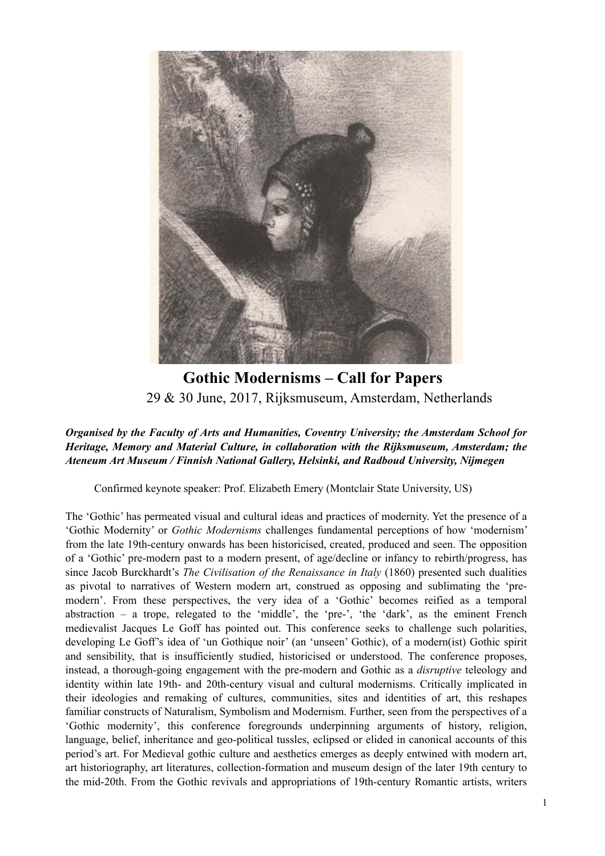

**Gothic Modernisms – Call for Papers** 29 & 30 June, 2017, Rijksmuseum, Amsterdam, Netherlands

## *Organised by the Faculty of Arts and Humanities, Coventry University; the Amsterdam School for Heritage, Memory and Material Culture, in collaboration with the Rijksmuseum, Amsterdam; the Ateneum Art Museum / Finnish National Gallery, Helsinki, and Radboud University, Nijmegen*

Confirmed keynote speaker: Prof. Elizabeth Emery (Montclair State University, US)

The 'Gothic' has permeated visual and cultural ideas and practices of modernity. Yet the presence of a 'Gothic Modernity' or *Gothic Modernisms* challenges fundamental perceptions of how 'modernism' from the late 19th-century onwards has been historicised, created, produced and seen. The opposition of a 'Gothic' pre-modern past to a modern present, of age/decline or infancy to rebirth/progress, has since Jacob Burckhardt's *The Civilisation of the Renaissance in Italy* (1860) presented such dualities as pivotal to narratives of Western modern art, construed as opposing and sublimating the 'premodern'. From these perspectives, the very idea of a 'Gothic' becomes reified as a temporal abstraction – a trope, relegated to the 'middle', the 'pre-', 'the 'dark', as the eminent French medievalist Jacques Le Goff has pointed out. This conference seeks to challenge such polarities, developing Le Goff's idea of 'un Gothique noir' (an 'unseen' Gothic), of a modern(ist) Gothic spirit and sensibility, that is insufficiently studied, historicised or understood. The conference proposes, instead, a thorough-going engagement with the pre-modern and Gothic as a *disruptive* teleology and identity within late 19th- and 20th-century visual and cultural modernisms. Critically implicated in their ideologies and remaking of cultures, communities, sites and identities of art, this reshapes familiar constructs of Naturalism, Symbolism and Modernism. Further, seen from the perspectives of a 'Gothic modernity', this conference foregrounds underpinning arguments of history, religion, language, belief, inheritance and geo-political tussles, eclipsed or elided in canonical accounts of this period's art. For Medieval gothic culture and aesthetics emerges as deeply entwined with modern art, art historiography, art literatures, collection-formation and museum design of the later 19th century to the mid-20th. From the Gothic revivals and appropriations of 19th-century Romantic artists, writers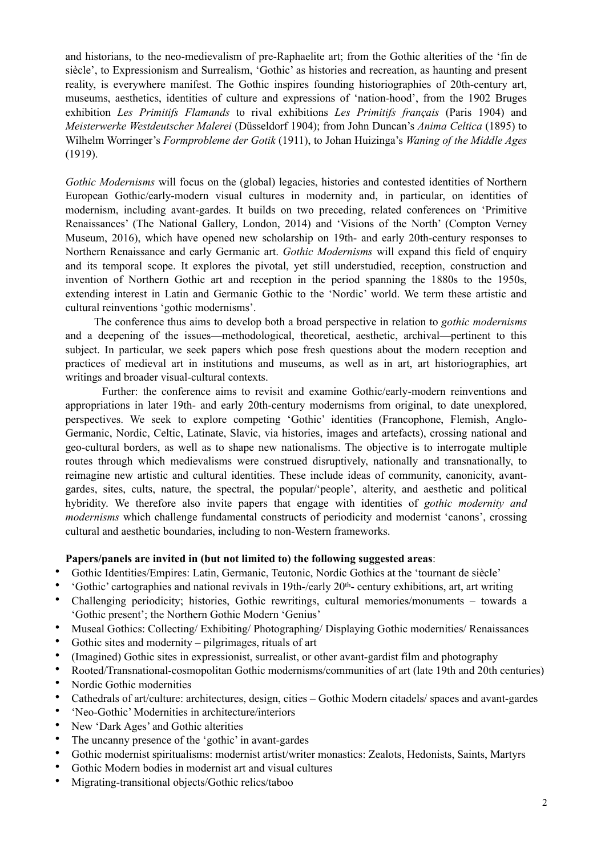and historians, to the neo-medievalism of pre-Raphaelite art; from the Gothic alterities of the 'fin de siècle', to Expressionism and Surrealism, 'Gothic' as histories and recreation, as haunting and present reality, is everywhere manifest. The Gothic inspires founding historiographies of 20th-century art, museums, aesthetics, identities of culture and expressions of 'nation-hood', from the 1902 Bruges exhibition *Les Primitifs Flamands* to rival exhibitions *Les Primitifs français* (Paris 1904) and *Meisterwerke Westdeutscher Malerei* (Düsseldorf 1904); from John Duncan's *Anima Celtica* (1895) to Wilhelm Worringer's *Formprobleme der Gotik* (1911), to Johan Huizinga's *Waning of the Middle Ages*  (1919).

*Gothic Modernisms* will focus on the (global) legacies, histories and contested identities of Northern European Gothic/early-modern visual cultures in modernity and, in particular, on identities of modernism, including avant-gardes. It builds on two preceding, related conferences on 'Primitive Renaissances' (The National Gallery, London, 2014) and 'Visions of the North' (Compton Verney Museum, 2016), which have opened new scholarship on 19th- and early 20th-century responses to Northern Renaissance and early Germanic art. *Gothic Modernisms* will expand this field of enquiry and its temporal scope. It explores the pivotal, yet still understudied, reception, construction and invention of Northern Gothic art and reception in the period spanning the 1880s to the 1950s, extending interest in Latin and Germanic Gothic to the 'Nordic' world. We term these artistic and cultural reinventions 'gothic modernisms'.

The conference thus aims to develop both a broad perspective in relation to *gothic modernisms* and a deepening of the issues—methodological, theoretical, aesthetic, archival—pertinent to this subject. In particular, we seek papers which pose fresh questions about the modern reception and practices of medieval art in institutions and museums, as well as in art, art historiographies, art writings and broader visual-cultural contexts.

Further: the conference aims to revisit and examine Gothic/early-modern reinventions and appropriations in later 19th- and early 20th-century modernisms from original, to date unexplored, perspectives. We seek to explore competing 'Gothic' identities (Francophone, Flemish, Anglo-Germanic, Nordic, Celtic, Latinate, Slavic, via histories, images and artefacts), crossing national and geo-cultural borders, as well as to shape new nationalisms. The objective is to interrogate multiple routes through which medievalisms were construed disruptively, nationally and transnationally, to reimagine new artistic and cultural identities. These include ideas of community, canonicity, avantgardes, sites, cults, nature, the spectral, the popular/'people', alterity, and aesthetic and political hybridity. We therefore also invite papers that engage with identities of *gothic modernity and modernisms* which challenge fundamental constructs of periodicity and modernist 'canons', crossing cultural and aesthetic boundaries, including to non-Western frameworks.

## **Papers/panels are invited in (but not limited to) the following suggested areas**:

- Gothic Identities/Empires: Latin, Germanic, Teutonic, Nordic Gothics at the 'tournant de siècle'
- 'Gothic' cartographies and national revivals in 19th-/early 20th- century exhibitions, art, art writing
- Challenging periodicity; histories, Gothic rewritings, cultural memories/monuments towards a 'Gothic present'; the Northern Gothic Modern 'Genius'
- Museal Gothics: Collecting/ Exhibiting/ Photographing/ Displaying Gothic modernities/ Renaissances
- Gothic sites and modernity pilgrimages, rituals of art
- (Imagined) Gothic sites in expressionist, surrealist, or other avant-gardist film and photography
- Rooted/Transnational-cosmopolitan Gothic modernisms/communities of art (late 19th and 20th centuries) • Nordic Gothic modernities
- Cathedrals of art/culture: architectures, design, cities Gothic Modern citadels/ spaces and avant-gardes
- 'Neo-Gothic' Modernities in architecture/interiors
- New 'Dark Ages' and Gothic alterities
- The uncanny presence of the 'gothic' in avant-gardes
- Gothic modernist spiritualisms: modernist artist/writer monastics: Zealots, Hedonists, Saints, Martyrs
- Gothic Modern bodies in modernist art and visual cultures
- Migrating-transitional objects/Gothic relics/taboo